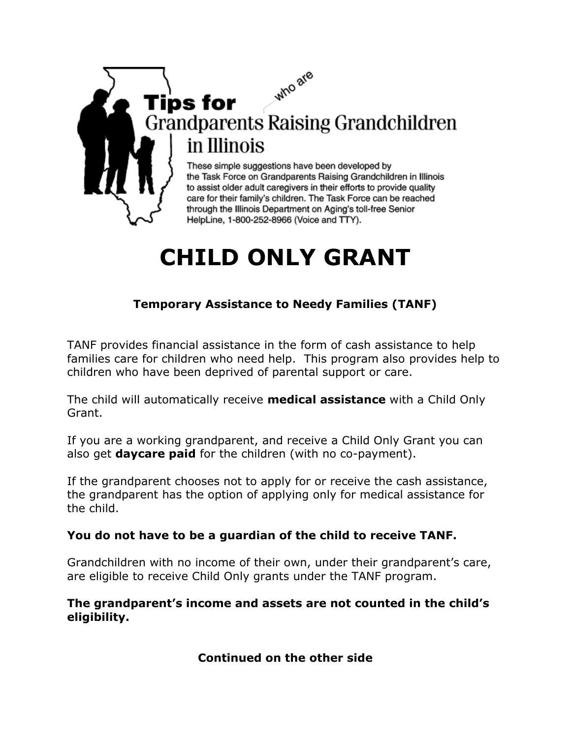## who are Tips for **Grandparents Raising Grandchildren** in Illinois

These simple suggestions have been developed by the Task Force on Grandparents Raising Grandchildren in Illinois to assist older adult caregivers in their efforts to provide quality care for their family's children. The Task Force can be reached through the Illinois Department on Aging's toll-free Senior HelpLine, 1-800-252-8966 (Voice and TTY).

# **CHILD ONLY GRANT**

#### **Temporary Assistance to Needy Families (TANF)**

TANF provides financial assistance in the form of cash assistance to help families care for children who need help. This program also provides help to children who have been deprived of parental support or care.

The child will automatically receive **medical assistance** with a Child Only Grant.

If you are a working grandparent, and receive a Child Only Grant you can also get **daycare paid** for the children (with no co-payment).

If the grandparent chooses not to apply for or receive the cash assistance, the grandparent has the option of applying only for medical assistance for the child.

#### **You do not have to be a guardian of the child to receive TANF.**

Grandchildren with no income of their own, under their grandparent's care, are eligible to receive Child Only grants under the TANF program.

#### **The grandparent's income and assets are not counted in the child's eligibility.**

#### **Continued on the other side**